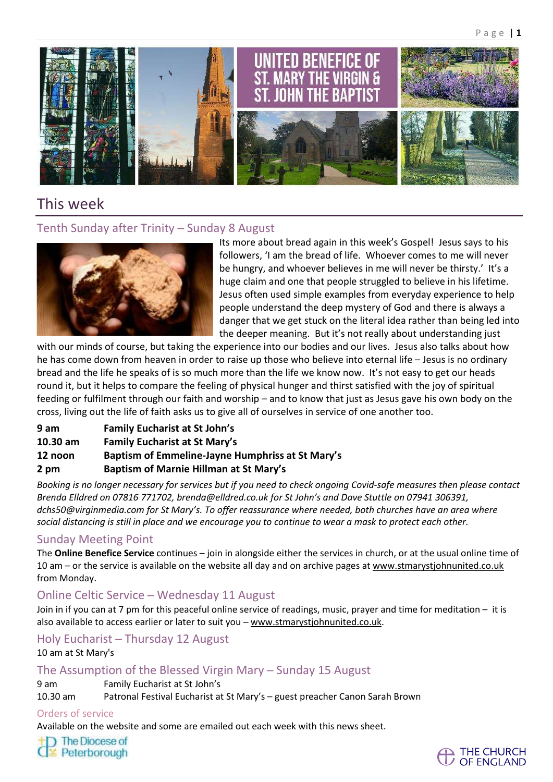

# This week

## Tenth Sunday after Trinity - Sunday 8 August



Its more about bread again in this week's Gospel! Jesus says to his followers, 'I am the bread of life. Whoever comes to me will never be hungry, and whoever believes in me will never be thirsty.' It's a huge claim and one that people struggled to believe in his lifetime. Jesus often used simple examples from everyday experience to help people understand the deep mystery of God and there is always a danger that we get stuck on the literal idea rather than being led into the deeper meaning. But it's not really about understanding just

with our minds of course, but taking the experience into our bodies and our lives. Jesus also talks about how he has come down from heaven in order to raise up those who believe into eternal life – Jesus is no ordinary bread and the life he speaks of is so much more than the life we know now. It's not easy to get our heads round it, but it helps to compare the feeling of physical hunger and thirst satisfied with the joy of spiritual feeding or fulfilment through our faith and worship – and to know that just as Jesus gave his own body on the cross, living out the life of faith asks us to give all of ourselves in service of one another too.

- **9 am Family Eucharist at St John's**
- **10.30 am Family Eucharist at St Mary's**
- **12 noon Baptism of Emmeline-Jayne Humphriss at St Mary's**
- **2 pm Baptism of Marnie Hillman at St Mary's**

Booking is no longer necessary for services but if you need to check ongoing Covid-safe measures then please contact *Brenda Elldred on 07816 771702, [brenda@elldred.co.uk](mailto:brenda@elldred.co.uk) for St John's and Dave Stuttle on 07941 306391, [dchs50@virginmedia.com](mailto:dchs50@virginmedia.com) for St Mary's. To offer reassurance where needed, both churches have an area where* social distancing is still in place and we encourage you to continue to wear a mask to protect each other.

## Sunday Meeting Point

The **Online Benefice Service** continues – join in alongside either the services in church, or at the usual online time of 10 am – or the service is available on the website all day and on archive pages at [www.stmarystjohnunited.co.uk](file:///C:/Users/Jane%20Smeathers/AppData/Local/Microsoft/Windows/INetCache/Content.Outlook/1WTUD6HR/www.stmarystjohnunited.co.uk) from Monday.

## Online Celtic Service ─ Wednesday 11 August

Join in if you can at 7 pm for this peaceful online service of readings, music, prayer and time for meditation – it is also available to access earlier or later to suit you ─ www.stmarystjohnunited.co.uk.

Holy Eucharist ─ Thursday 12 August 10 am at St Mary's

## The Assumption of the Blessed Virgin Mary ─ Sunday 15 August

9 am Family Eucharist at St John's

10.30 am Patronal Festival Eucharist at St Mary's – guest preacher Canon Sarah Brown

#### Orders of service

Available on the website and some are emailed out each week with this news sheet.

The Diocese of

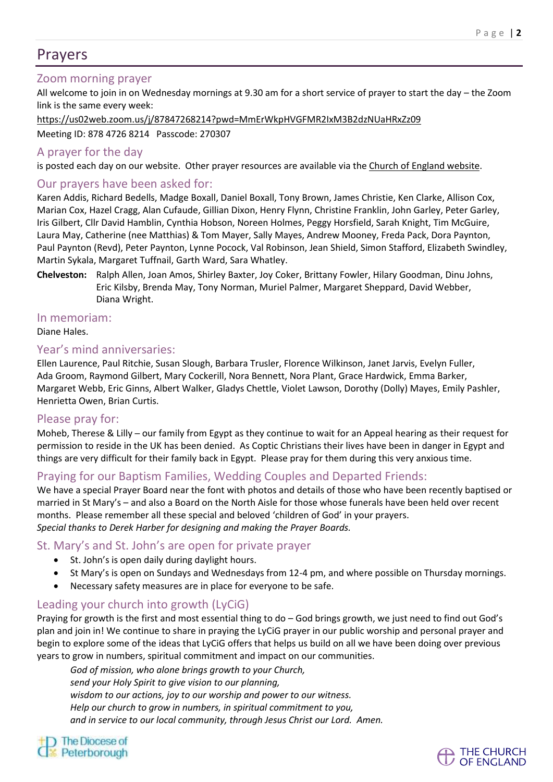## Prayers

## Zoom morning prayer

All welcome to join in on Wednesday mornings at 9.30 am for a short service of prayer to start the day – the Zoom link is the same every week:

<https://us02web.zoom.us/j/87847268214?pwd=MmErWkpHVGFMR2IxM3B2dzNUaHRxZz09>

Meeting ID: 878 4726 8214 Passcode: 270307

#### A prayer for the day

is posted each day on our website. Other prayer resources are available via the Church of England [website.](https://www.churchofengland.org/resources/coronavirus-covid-19-guidance-churches/coronavirus-covid-19-liturgy-and-prayer-resources)

### Our prayers have been asked for:

Karen Addis, Richard Bedells, Madge Boxall, Daniel Boxall, Tony Brown, James Christie, Ken Clarke, Allison Cox, Marian Cox, Hazel Cragg, Alan Cufaude, Gillian Dixon, Henry Flynn, Christine Franklin, John Garley, Peter Garley, Iris Gilbert, Cllr David Hamblin, Cynthia Hobson, Noreen Holmes, Peggy Horsfield, Sarah Knight, Tim McGuire, Laura May, Catherine (nee Matthias) & Tom Mayer, Sally Mayes, Andrew Mooney, Freda Pack, Dora Paynton, Paul Paynton (Revd), Peter Paynton, Lynne Pocock, Val Robinson, Jean Shield, Simon Stafford, Elizabeth Swindley, Martin Sykala, Margaret Tuffnail, Garth Ward, Sara Whatley.

**Chelveston:** Ralph Allen, Joan Amos, Shirley Baxter, Joy Coker, Brittany Fowler, Hilary Goodman, Dinu Johns, Eric Kilsby, Brenda May, Tony Norman, Muriel Palmer, Margaret Sheppard, David Webber, Diana Wright.

#### In memoriam:

Diane Hales.

#### Year's mind anniversaries:

Ellen Laurence, Paul Ritchie, Susan Slough, Barbara Trusler, Florence Wilkinson, Janet Jarvis, Evelyn Fuller, Ada Groom, Raymond Gilbert, Mary Cockerill, Nora Bennett, Nora Plant, Grace Hardwick, Emma Barker, Margaret Webb, Eric Ginns, Albert Walker, Gladys Chettle, Violet Lawson, Dorothy (Dolly) Mayes, Emily Pashler, Henrietta Owen, Brian Curtis.

#### Please pray for:

Moheb, Therese & Lilly – our family from Egypt as they continue to wait for an Appeal hearing as their request for permission to reside in the UK has been denied. As Coptic Christians their lives have been in danger in Egypt and things are very difficult for their family back in Egypt. Please pray for them during this very anxious time.

## Praying for our Baptism Families, Wedding Couples and Departed Friends:

We have a special Prayer Board near the font with photos and details of those who have been recently baptised or married in St Mary's – and also a Board on the North Aisle for those whose funerals have been held over recent months. Please remember all these special and beloved 'children of God' in your prayers. *Special thanks to Derek Harber for designing and making the Prayer Boards.*

#### St. Mary's and St. John's are open for private prayer

- St. John's is open daily during daylight hours.
- St Mary's is open on Sundays and Wednesdays from 12-4 pm, and where possible on Thursday mornings.
- Necessary safety measures are in place for everyone to be safe.

## Leading your church into growth (LyCiG)

Praying for growth is the first and most essential thing to do – God brings growth, we just need to find out God's plan and join in! We continue to share in praying the LyCiG prayer in our public worship and personal prayer and begin to explore some of the ideas that LyCiG offers that helps us build on all we have been doing over previous years to grow in numbers, spiritual commitment and impact on our communities.

*God of mission, who alone brings growth to your Church, send your Holy Spirit to give vision to our planning, wisdom to our actions, joy to our worship and power to our witness. Help our church to grow in numbers, in spiritual commitment to you, and in service to our local community, through Jesus Christ our Lord. Amen.*

) The Diocese of

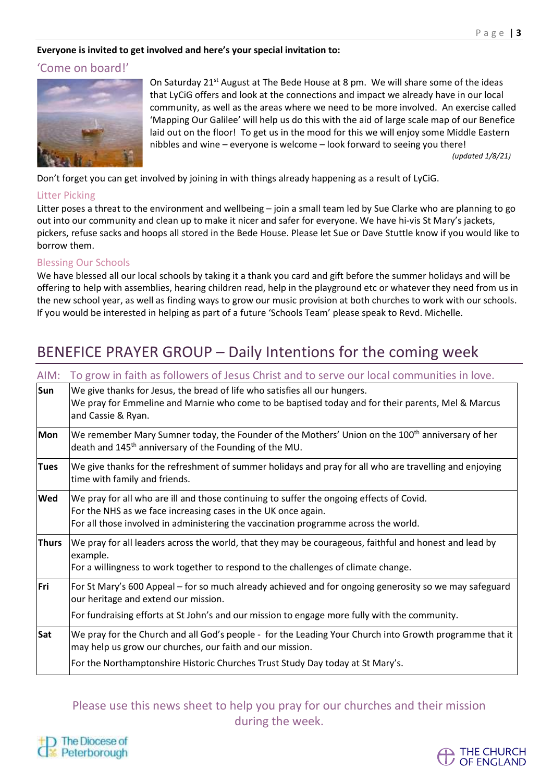#### **Everyone is invited to get involved and here's your special invitation to:**

#### 'Come on board!'



On Saturday 21<sup>st</sup> August at The Bede House at 8 pm. We will share some of the ideas that LyCiG offers and look at the connections and impact we already have in our local community, as well as the areas where we need to be more involved. An exercise called 'Mapping Our Galilee' will help us do this with the aid of large scale map of our Benefice laid out on the floor! To get us in the mood for this we will enjoy some Middle Eastern nibbles and wine – everyone is welcome – look forward to seeing you there! *(updated 1/8/21)*

Don't forget you can get involved by joining in with things already happening as a result of LyCiG.

#### Litter Picking

Litter poses a threat to the environment and wellbeing – join a small team led by Sue Clarke who are planning to go out into our community and clean up to make it nicer and safer for everyone. We have hi-vis St Mary's jackets, pickers, refuse sacks and hoops all stored in the Bede House. Please let Sue or Dave Stuttle know if you would like to borrow them.

#### Blessing Our Schools

We have blessed all our local schools by taking it a thank you card and gift before the summer holidays and will be offering to help with assemblies, hearing children read, help in the playground etc or whatever they need from us in the new school year, as well as finding ways to grow our music provision at both churches to work with our schools. If you would be interested in helping as part of a future 'Schools Team' please speak to Revd. Michelle.

# BENEFICE PRAYER GROUP – Daily Intentions for the coming week

| AIM:         | To grow in faith as followers of Jesus Christ and to serve our local communities in love.                                                                                                                                                        |
|--------------|--------------------------------------------------------------------------------------------------------------------------------------------------------------------------------------------------------------------------------------------------|
| Sun          | We give thanks for Jesus, the bread of life who satisfies all our hungers.<br>We pray for Emmeline and Marnie who come to be baptised today and for their parents, Mel & Marcus<br>and Cassie & Ryan.                                            |
| <b>Mon</b>   | We remember Mary Sumner today, the Founder of the Mothers' Union on the 100 <sup>th</sup> anniversary of her<br>death and 145 <sup>th</sup> anniversary of the Founding of the MU.                                                               |
| <b>Tues</b>  | We give thanks for the refreshment of summer holidays and pray for all who are travelling and enjoying<br>time with family and friends.                                                                                                          |
| <b>Wed</b>   | We pray for all who are ill and those continuing to suffer the ongoing effects of Covid.<br>For the NHS as we face increasing cases in the UK once again.<br>For all those involved in administering the vaccination programme across the world. |
| <b>Thurs</b> | We pray for all leaders across the world, that they may be courageous, faithful and honest and lead by<br>example.<br>For a willingness to work together to respond to the challenges of climate change.                                         |
| Fri          | For St Mary's 600 Appeal – for so much already achieved and for ongoing generosity so we may safeguard<br>our heritage and extend our mission.<br>For fundraising efforts at St John's and our mission to engage more fully with the community.  |
|              |                                                                                                                                                                                                                                                  |
| Sat          | We pray for the Church and all God's people - for the Leading Your Church into Growth programme that it<br>may help us grow our churches, our faith and our mission.                                                                             |
|              | For the Northamptonshire Historic Churches Trust Study Day today at St Mary's.                                                                                                                                                                   |

## Please use this news sheet to help you pray for our churches and their mission during the week.



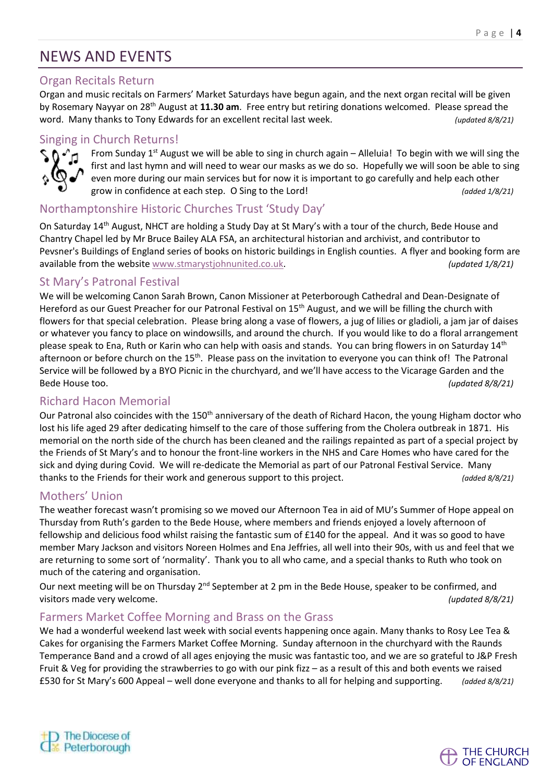# NEWS AND EVENTS

## Organ Recitals Return

Organ and music recitals on Farmers' Market Saturdays have begun again, and the next organ recital will be given by Rosemary Nayyar on 28th August at **11.30 am**. Free entry but retiring donations welcomed. Please spread the word. Many thanks to Tony Edwards for an excellent recital last week. *(updated 8/8/21)*

## Singing in Church Returns!



From Sunday  $1<sup>st</sup>$  August we will be able to sing in church again – Alleluia! To begin with we will sing the first and last hymn and will need to wear our masks as we do so. Hopefully we will soon be able to sing even more during our main services but for now it is important to go carefully and help each other grow in confidence at each step. O Sing to the Lord! *(added 1/8/21)*

## Northamptonshire Historic Churches Trust 'Study Day'

On Saturday 14th August, NHCT are holding a Study Day at St Mary's with a tour of the church, Bede House and Chantry Chapel led by Mr Bruce Bailey ALA FSA, an architectural historian and archivist, and contributor to Pevsner's Buildings of England series of books on historic buildings in English counties. A flyer and booking form are available from the website [www.stmarystjohnunited.co.uk.](http://www.stmarystjohnunited.co.uk/) *(updated 1/8/21)*

## St Mary's Patronal Festival

We will be welcoming Canon Sarah Brown, Canon Missioner at Peterborough Cathedral and Dean-Designate of Hereford as our Guest Preacher for our Patronal Festival on 15<sup>th</sup> August, and we will be filling the church with flowers for that special celebration. Please bring along a vase of flowers, a jug of lilies or gladioli, a jam jar of daises or whatever you fancy to place on windowsills, and around the church. If you would like to do a floral arrangement please speak to Ena, Ruth or Karin who can help with oasis and stands. You can bring flowers in on Saturday 14<sup>th</sup> afternoon or before church on the 15<sup>th</sup>. Please pass on the invitation to everyone you can think of! The Patronal Service will be followed by a BYO Picnic in the churchyard, and we'll have access to the Vicarage Garden and the Bede House too. *(updated 8/8/21)*

## Richard Hacon Memorial

Our Patronal also coincides with the 150<sup>th</sup> anniversary of the death of Richard Hacon, the young Higham doctor who lost his life aged 29 after dedicating himself to the care of those suffering from the Cholera outbreak in 1871. His memorial on the north side of the church has been cleaned and the railings repainted as part of a special project by the Friends of St Mary's and to honour the front-line workers in the NHS and Care Homes who have cared for the sick and dying during Covid. We will re-dedicate the Memorial as part of our Patronal Festival Service. Many thanks to the Friends for their work and generous support to this project. *(added 8/8/21)*

## Mothers' Union

The weather forecast wasn't promising so we moved our Afternoon Tea in aid of MU's Summer of Hope appeal on Thursday from Ruth's garden to the Bede House, where members and friends enjoyed a lovely afternoon of fellowship and delicious food whilst raising the fantastic sum of £140 for the appeal. And it was so good to have member Mary Jackson and visitors Noreen Holmes and Ena Jeffries, all well into their 90s, with us and feel that we are returning to some sort of 'normality'. Thank you to all who came, and a special thanks to Ruth who took on much of the catering and organisation.

Our next meeting will be on Thursday 2<sup>nd</sup> September at 2 pm in the Bede House, speaker to be confirmed, and visitors made very welcome. *(updated 8/8/21)*

## Farmers Market Coffee Morning and Brass on the Grass

We had a wonderful weekend last week with social events happening once again. Many thanks to Rosy Lee Tea & Cakes for organising the Farmers Market Coffee Morning. Sunday afternoon in the churchyard with the Raunds Temperance Band and a crowd of all ages enjoying the music was fantastic too, and we are so grateful to J&P Fresh Fruit & Veg for providing the strawberries to go with our pink fizz – as a result of this and both events we raised £530 for St Mary's 600 Appeal – well done everyone and thanks to all for helping and supporting. *(added 8/8/21)*



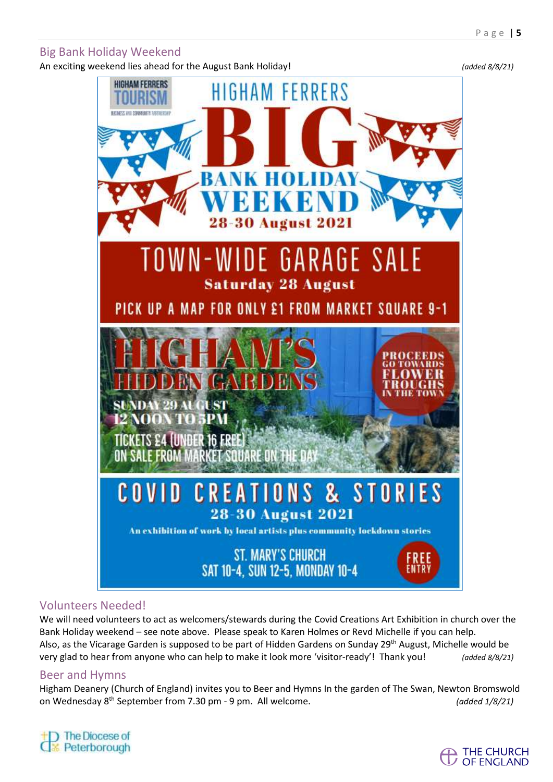### Big Bank Holiday Weekend

An exciting weekend lies ahead for the August Bank Holiday! *(added 8/8/21)*



## Volunteers Needed!

We will need volunteers to act as welcomers/stewards during the Covid Creations Art Exhibition in church over the Bank Holiday weekend – see note above. Please speak to Karen Holmes or Revd Michelle if you can help. Also, as the Vicarage Garden is supposed to be part of Hidden Gardens on Sunday 29<sup>th</sup> August, Michelle would be very glad to hear from anyone who can help to make it look more 'visitor-ready'! Thank you! *(added 8/8/21)*

#### Beer and Hymns

Higham Deanery (Church of England) invites you to Beer and Hymns In the garden of The Swan, Newton Bromswold on Wednesday 8 th September from 7.30 pm - 9 pm. All welcome. *(added 1/8/21)*

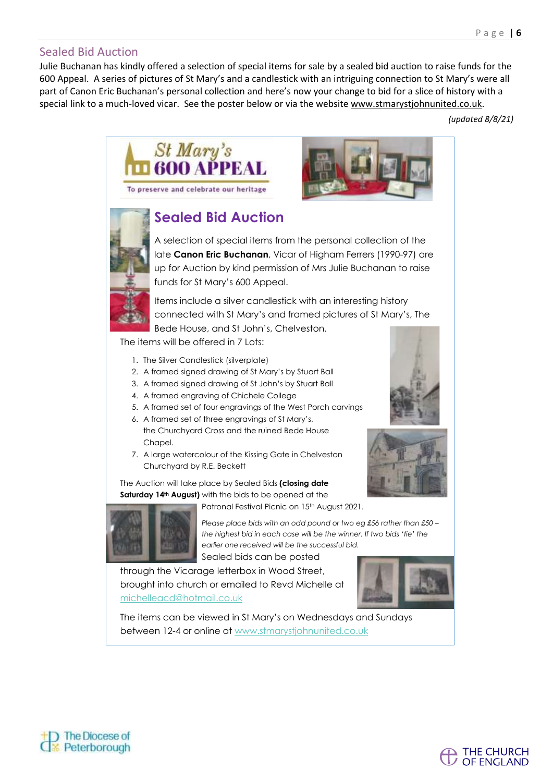### Sealed Bid Auction

Julie Buchanan has kindly offered a selection of special items for sale by a sealed bid auction to raise funds for the 600 Appeal. A series of pictures of St Mary's and a candlestick with an intriguing connection to St Mary's were all part of Canon Eric Buchanan's personal collection and here's now your change to bid for a slice of history with a special link to a much-loved vicar. See the poster below or via the website [www.stmarystjohnunited.co.uk.](http://www.stmarystjohnunited.co.uk/)

*(updated 8/8/21)*

THE CHURCH **OF ENGLAND** 



The items can be viewed in St Mary's on Wednesdays and Sundays between 12-4 or online at www.stmarystjohnunited.co.uk

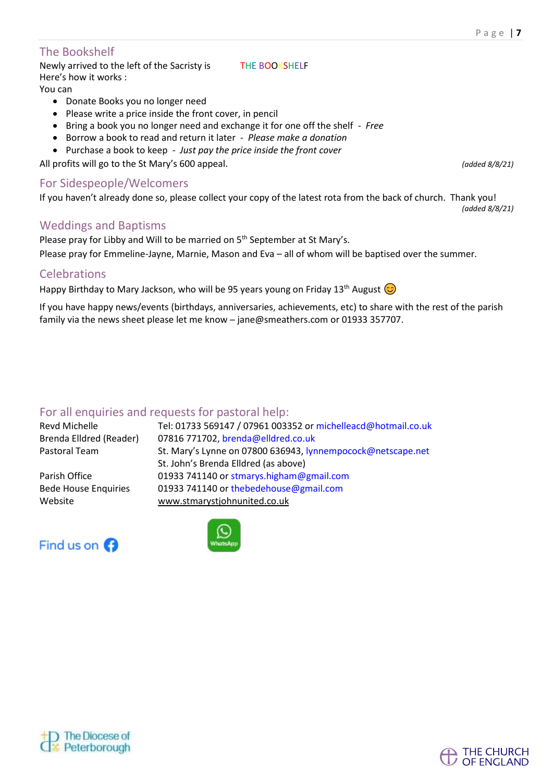### The Bookshelf

Newly arrived to the left of the Sacristy is THE BOOKSHELF Here's how it works : You can

- Donate Books you no longer need
- Please write a price inside the front cover, in pencil
- Bring a book you no longer need and exchange it for one off the shelf *Free*
- Borrow a book to read and return it later *Please make a donation*
- Purchase a book to keep *Just pay the price inside the front cover*

All profits will go to the St Mary's 600 appeal. *(added 8/8/21)*

#### For Sidespeople/Welcomers

If you haven't already done so, please collect your copy of the latest rota from the back of church. Thank you!

#### Weddings and Baptisms

Please pray for Libby and Will to be married on 5<sup>th</sup> September at St Mary's.

Please pray for Emmeline-Jayne, Marnie, Mason and Eva – all of whom will be baptised over the summer.

#### Celebrations

Happy Birthday to Mary Jackson, who will be 95 years young on Friday 13<sup>th</sup> August  $\circled{c}$ 

If you have happy news/events (birthdays, anniversaries, achievements, etc) to share with the rest of the parish family via the news sheet please let me know - jane@smeathers.com or 01933 357707.

## For all enquiries and requests for pastoral help:

Revd Michelle Tel: 01733 569147 / 07961 003352 or michelleacd@hotmail.co.uk Brenda Elldred (Reader) 07816 771702, brenda@elldred.co.uk Pastoral Team St. Mary's Lynne on 07800 636943, lynnempocock@netscape.net

Parish Office 01933 741140 or stmarys.higham@gmail.com Bede House Enquiries 01933 741140 or thebedehouse@gmail.com Website [www.stmarystjohnunited.co.uk](http://www.stmarystjohnunited.co.uk/)





St. John's Brenda Elldred (as above)





*(added 8/8/21)*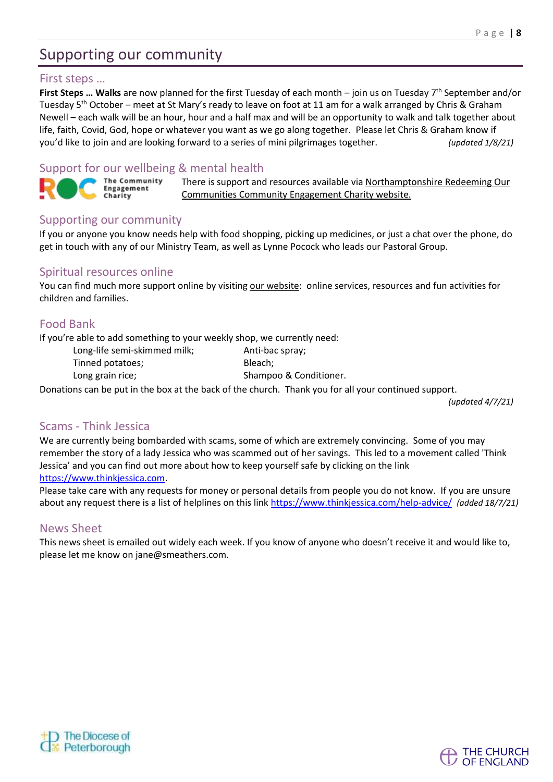# Supporting our community

#### First steps …

First Steps ... Walks are now planned for the first Tuesday of each month – join us on Tuesday 7<sup>th</sup> September and/or Tuesday 5<sup>th</sup> October – meet at St Mary's ready to leave on foot at 11 am for a walk arranged by Chris & Graham Newell – each walk will be an hour, hour and a half max and will be an opportunity to walk and talk together about life, faith, Covid, God, hope or whatever you want as we go along together. Please let Chris & Graham know if you'd like to join and are looking forward to a series of mini pilgrimages together. *(updated 1/8/21)*

## Support for our wellbeing & mental health

The Community Engagement Charity

There is support and resources available via [Northamptonshire](https://rocnorthants.co.uk/) Redeeming Our [Communities](https://rocnorthants.co.uk/) Community Engagement Charity website.

### Supporting our community

If you or anyone you know needs help with food shopping, picking up medicines, or just a chat over the phone, do get in touch with any of our Ministry Team, as well as Lynne Pocock who leads our Pastoral Group.

#### Spiritual resources online

You can find much more support online by visiting our [website:](https://www.stmaryhighamferrers.org/about-1) online services, resources and fun activities for children and families.

### Food Bank

If you're able to add something to your weekly shop, we currently need:

Long-life semi-skimmed milk; Anti-bac spray; Tinned potatoes; extending the Bleach;

Long grain rice; Shampoo & Conditioner.

Donations can be put in the box at the back of the church. Thank you for all your continued support.

*(updated 4/7/21)*

THE CHURCH OF ENGLAND

#### Scams - Think Jessica

We are currently being bombarded with scams, some of which are extremely convincing. Some of you may remember the story of a lady Jessica who was scammed out of her savings. This led to a movement called 'Think Jessica' and you can find out more about how to keep yourself safe by clicking on the link [https://www.thinkjessica.com.](https://www.thinkjessica.com/)

Please take care with any requests for money or personal details from people you do not know. If you are unsure about any request there is a list of helplines on this lin[k https://www.thinkjessica.com/help-advice/](https://www.thinkjessica.com/help-advice/) *(added 18/7/21)*

#### News Sheet

This news sheet is emailed out widely each week. If you know of anyone who doesn't receive it and would like to, please let me know on jane@smeathers.com.

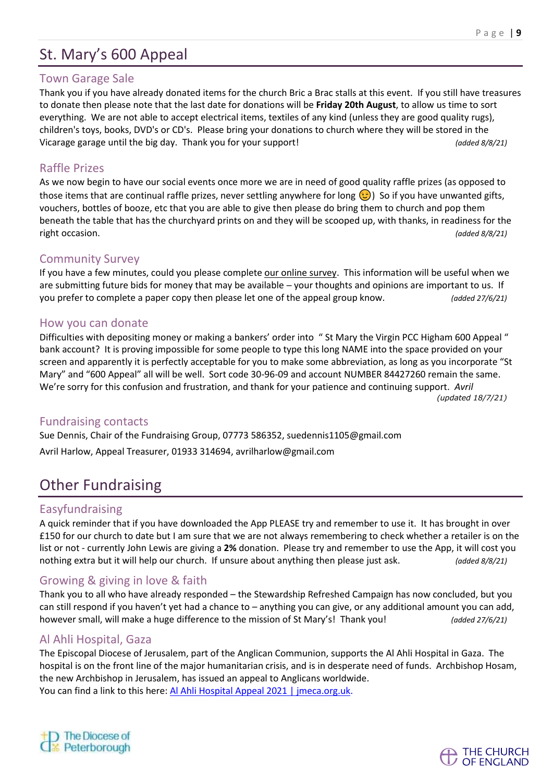# St. Mary's 600 Appeal

#### Town Garage Sale

Thank you if you have already donated items for the church Bric a Brac stalls at this event. If you still have treasures to donate then please note that the last date for donations will be **Friday 20th August**, to allow us time to sort everything. We are not able to accept electrical items, textiles of any kind (unless they are good quality rugs), children's toys, books, DVD's or CD's. Please bring your donations to church where they will be stored in the Vicarage garage until the big day. Thank you for your support! *(added 8/8/21)*

#### Raffle Prizes

As we now begin to have our social events once more we are in need of good quality raffle prizes (as opposed to those items that are continual raffle prizes, never settling anywhere for long  $\odot$ ) So if you have unwanted gifts, vouchers, bottles of booze, etc that you are able to give then please do bring them to church and pop them beneath the table that has the churchyard prints on and they will be scooped up, with thanks, in readiness for the right occasion. *(added 8/8/21)*

#### Community Survey

If you have a few minutes, could you please complet[e our online survey.](https://www.surveymonkey.co.uk/r/GPYCF9P) This information will be useful when we are submitting future bids for money that may be available – your thoughts and opinions are important to us. If you prefer to complete a paper copy then please let one of the appeal group know. *(added 27/6/21)*

#### How you can donate

Difficulties with depositing money or making a bankers' order into " St Mary the Virgin PCC Higham 600 Appeal " bank account? It is proving impossible for some people to type this long NAME into the space provided on your screen and apparently it is perfectly acceptable for you to make some abbreviation, as long as you incorporate "St Mary" and "600 Appeal" all will be well. Sort code 30-96-09 and account NUMBER 84427260 remain the same. We're sorry for this confusion and frustration, and thank for your patience and continuing support. *Avril (updated 18/7/21)*

#### Fundraising contacts

Sue Dennis, Chair of the Fundraising Group, 07773 586352, suedennis1105@gmail.com Avril Harlow, Appeal Treasurer, 01933 314694, avrilharlow@gmail.com

## Other Fundraising

#### Easyfundraising

A quick reminder that if you have downloaded the App PLEASE try and remember to use it. It has brought in over £150 for our church to date but I am sure that we are not always remembering to check whether a retailer is on the list or not - currently John Lewis are giving a **2%** donation. Please try and remember to use the App, it will cost you nothing extra but it will help our church. If unsure about anything then please just ask. *(added 8/8/21)*

## Growing & giving in love & faith

Thank you to all who have already responded – the Stewardship Refreshed Campaign has now concluded, but you can still respond if you haven't yet had a chance to – anything you can give, or any additional amount you can add, however small, will make a huge difference to the mission of St Mary's! Thank you! *(added 27/6/21)*

#### Al Ahli Hospital, Gaza

The Episcopal Diocese of Jerusalem, part of the Anglican Communion, supports the Al Ahli Hospital in Gaza. The hospital is on the front line of the major humanitarian crisis, and is in desperate need of funds. Archbishop Hosam, the new Archbishop in Jerusalem, has issued an appeal to Anglicans worldwide. You can find a link to this here: Al Ahli Hospital Appeal 2021 | [jmeca.org.uk.](https://emea01.safelinks.protection.outlook.com/?url=https%3A%2F%2Fwww.jmeca.org.uk%2Fget-involved%2Fdonate%2Fcurrent-appeals-0%2Fal-ahli-hospital-appeal-2021&data=04%7C01%7C%7Ced1c19d1648d4a0f937408d9237402eb%7C84df9e7fe9f640afb435aaaaaaaaaaaa%7C1%7C0%7C637579804017966272%7CUnknown%7CTWFpbGZsb3d8eyJWIjoiMC4wLjAwMDAiLCJQIjoiV2luMzIiLCJBTiI6Ik1haWwiLCJXVCI6Mn0%3D%7C1000&sdata=uF13ppNSqW3dS%2F05ZeUvxXiDerXexiocl%2B4DUX22u%2Fs%3D&reserved=0)